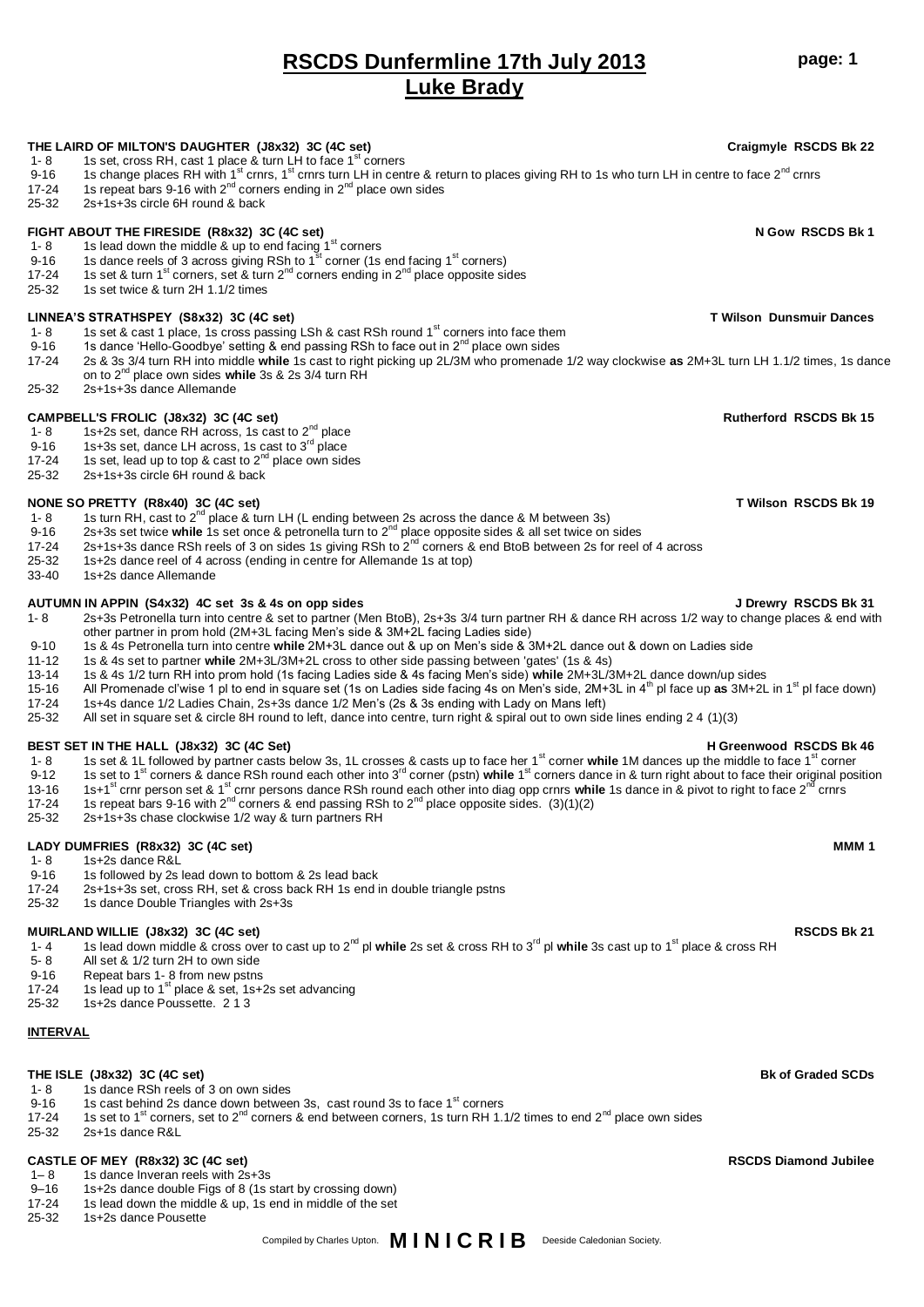# **RSCDS Dunfermline 17th July 2013 Luke Brady**

**THE LAIRD OF MILTON'S DAUGHTER (J8x32) 3C (4C set) Craigmyle RSCDS Bk 22**

9-16 1s change places RH with 1<sup>st</sup> crnrs, 1<sup>st</sup> crnrs turn LH in centre & return to places giving RH to 1s who turn LH in centre to face 2<sup>nd</sup> crnrs

## 17-24 1s repeat bars 9-16 with  $2^{nd}$  corners ending in  $2^{nd}$  place own sides 25-32 2s+1s+3s circle 6H round & back **FIGHT ABOUT THE FIRESIDE (R8x32) 3C (4C set) N Gow RSCDS Bk 1** 1- 8 1s lead down the middle & up to end facing  $1<sup>st</sup>$  corners 9-16 1s dance reels of 3 across giving RSh to 1<sup>st</sup> corner (1s end facing 1<sup>st</sup> corners) 17-24 1s set & turn 1<sup>st</sup> corners, set & turn 2<sup>nd</sup> corners ending in 2<sup>nd</sup> place opposite sides<br>25-32 1s set twice & turn 2H 1 1/2 times 1s set twice & turn 2H 1.1/2 times LINNEA'S STRATHSPEY (S8x32) 3C (4C set)<br>1- 8 1s set & cast 1 place. 1s cross passing LSh & cast RSh round 1<sup>st</sup> corners into face them **TWISON 15** 1st and the set & cast 1 place. 1- 8 1s set & cast 1 place, 1s cross passing LSh & cast RSh round 1<sup>st</sup> corners into face them<br>9-16 1s dance 'Hello-Goodbye' setting & end passing RSh to face out in 2<sup>nd</sup> place own sides 9-16 1s dance 'Hello-Goodbye' setting & end passing RSh to face out in 2<sup>nd</sup> place own sides 17-24 2s & 3s 3/4 turn RH into middle **while** 1s cast to right picking up 2L/3M who promenade 1/2 way clockwise **as** 2M+3L turn LH 1.1/2 times, 1s dance on to 2nd place own sides **while** 3s & 2s 3/4 turn RH  $25-32$   $25+1s+3s$  dance Allemande **CAMPBELL'S FROLIC (J8x32) 3C (4C set) Rutherford RSCDS Bk 15** 1- 8 1s+2s set, dance RH across, 1s cast to  $2^{nd}$  place 9-16  $1$ s+3s set, dance LH across, 1s cast to 3 $^{\sf rd}$  place 17-24 1s set, lead up to top & cast to  $2^{nd}$  place own sides 25-32 2s+1s+3s circle 6H round & back **NONE SO PRETTY (R8x40) 3C (4C set) T Wilson RSCDS Bk 19** 1- 8 1s turn RH, cast to  $2<sup>nd</sup>$  place & turn LH (L ending between 2s across the dance & M between 3s) 9-16 2s+3s set twice **while** 1s set once & petronella turn to 2nd place opposite sides & all set twice on sides 2s+1s+3s dance RSh reels of 3 on sides 1s giving RSh to  $2^{nd}$  corners & end BtoB between 2s for reel of 4 across 25-32 1s+2s dance reel of 4 across (ending in centre for Allemande 1s at top) 33-40 1s+2s dance Allemande **AUTUMN IN APPIN (S4x32) 4C set 3s & 4s on opp sides J Drewry RSCDS Bk 31** 1- 8 2s+3s Petronella turn into centre & set to partner (Men BtoB), 2s+3s 3/4 turn partner RH & dance RH across 1/2 way to change places & end with other partner in prom hold (2M+3L facing Men's side & 3M+2L facing Ladies side) 9-10 1s & 4s Petronella turn into centre **while** 2M+3L dance out & up on Men's side & 3M+2L dance out & down on Ladies side 11-12 1s & 4s set to partner **while** 2M+3L/3M+2L cross to other side passing between 'gates' (1s & 4s) 13-14 1s & 4s 1/2 turn RH into prom hold (1s facing Ladies side & 4s facing Men's side) **while** 2M+3L/3M+2L dance down/up sides 15-16 All Promenade cl'wise 1 pl to end in square set (1s on Ladies side facing 4s on Men's side, 2M+3L in 4th pl face up **as** 3M+2L in 1st pl face down) 17-24 1s+4s dance 1/2 Ladies Chain, 2s+3s dance 1/2 Men's (2s & 3s ending with Lady on Mans left) 25-32 All set in square set & circle 8H round to left, dance into centre, turn right & spiral out to own side lines ending 2 4 (1)(3) **BEST SET IN THE HALL (J8x32) 3C (4C Set)**<br>1- 8 1s set & 1L followed by partner casts below 3s, 1L crosses & casts up to face her 1<sup>st</sup> corner while 1M dances up the middle to face 1<sup>st</sup> corner 9-12 1s set to 1<sup>st</sup> corners & dance RSh round each other into 3<sup>rd</sup> corner (pstn) while 1<sup>st</sup> corners dance in & turn right about to face their original position 13-16 1s+1<sup>st</sup> crnr person set & 1<sup>st</sup> crnr persons dance RSh round each other into diag opp crnrs while 1s dance in & pivot to right to face 2<sup>nd</sup> crnrs<br>17-24 1s repeat hars 9-16 with 2<sup>nd</sup> corners & end passing RSh to 2<sup></sup> 15 repeat bars 9-16 with 2<sup>nd</sup> corners & end passing RSh to 2<sup>nd</sup> place opposite sides. (3)(1)(2) 25-32 2s+1s+3s chase clockwise 1/2 way & turn partners RH **LADY DUMFRIES (R8x32) 3C (4C set) MMM 1** 1- 8 1s+2s dance R&L<br>9-16 1s followed by 2s 9-16 1s followed by 2s lead down to bottom & 2s lead back<br>17-24 2s+1s+3s set, cross RH, set & cross back RH 1s end 2s+1s+3s set, cross RH, set & cross back RH 1s end in double triangle pstns 25-32 1s dance Double Triangles with 2s+3s **MUIRLAND WILLIE (J8x32) 3C (4C set) RSCDS Bk 21** 1- 4 1s lead down middle & cross over to cast up to 2<sup>nd</sup> pl **while** 2s set & cross RH to 3<sup>rd</sup> pl while 3s cast up to 1<sup>st</sup> place & cross RH 5- 8 All set & 1/2 turn 2H to own side 9-16 Repeat bars 1- 8 from new pstns<br>17-24 1s lead up to 1<sup>st</sup> place & set, 1s+2s set advancing 25-32 1s+2s dance Poussette. 2 1 3 **INTERVAL THE ISLE (J8x32) 3C (4C set) Bk of Graded SCDs** 1- 8 1s dance RSh reels of 3 on own sides 9-16 1s cast behind 2s dance down between 3s, cast round 3s to face  $1<sup>st</sup>$  corners 17-24 1s set to 1<sup>st</sup> corners, set to 2<sup>nd</sup> corners & end between corners, 1s turn RH 1.1/2 times to end 2<sup>nd</sup> place own sides<br>25-32 2s+1s dance R&L 2s+1s dance R&L **CASTLE OF MEY (R8x32) 3C (4C set) RSCDS Diamond Jubilee** 1– 8 1s dance Inveran reels with 2s+3s 9–16 1s+2s dance double Figs of 8 (1s start by crossing down)

17-24 1s lead down the middle & up, 1s end in middle of the set

1- 8 1s set, cross RH, cast 1 place & turn LH to face  $1<sup>st</sup>$  corners

25-32 1s+2s dance Pousette